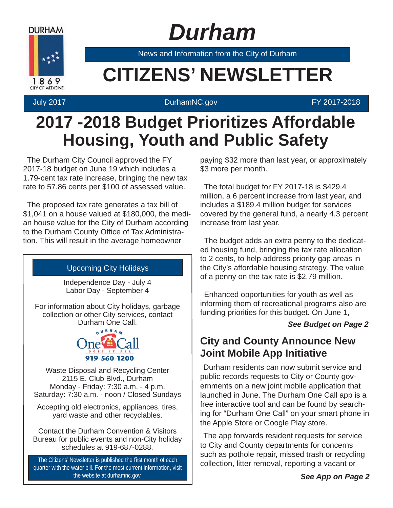

 *Durham*

News and Information from the City of Durham

# **EXAMPLE CITIZENS' NEWSLETTER**

#### July 2017 DurhamNC.gov FY 2017-2018

## **2017 -2018 Budget Prioritizes Affordable Housing, Youth and Public Safety**

The Durham City Council approved the FY 2017-18 budget on June 19 which includes a 1.79-cent tax rate increase, bringing the new tax rate to 57.86 cents per \$100 of assessed value.

The proposed tax rate generates a tax bill of \$1,041 on a house valued at \$180,000, the median house value for the City of Durham according to the Durham County Office of Tax Administration. This will result in the average homeowner

#### Upcoming City Holidays

Independence Day - July 4 Labor Day - September 4

For information about City holidays, garbage collection or other City services, contact Durham One Call.



Waste Disposal and Recycling Center 2115 E. Club Blvd., Durham Monday - Friday: 7:30 a.m. - 4 p.m. Saturday: 7:30 a.m. - noon / Closed Sundays

Accepting old electronics, appliances, tires, yard waste and other recyclables.

Contact the Durham Convention & Visitors Bureau for public events and non-City holiday schedules at 919-687-0288.

The Citizens' Newsletter is published the first month of each quarter with the water bill. For the most current information, visit the website at durhamnc.gov.

paying \$32 more than last year, or approximately \$3 more per month.

The total budget for FY 2017-18 is \$429.4 million, a 6 percent increase from last year, and includes a \$189.4 million budget for services covered by the general fund, a nearly 4.3 percent increase from last year.

The budget adds an extra penny to the dedicated housing fund, bringing the tax rate allocation to 2 cents, to help address priority gap areas in the City's affordable housing strategy. The value of a penny on the tax rate is \$2.79 million.

Enhanced opportunities for youth as well as informing them of recreational programs also are funding priorities for this budget. On June 1,

#### *See Budget on Page 2*

### **City and County Announce New Joint Mobile App Initiative**

Durham residents can now submit service and public records requests to City or County governments on a new joint mobile application that launched in June. The Durham One Call app is a free interactive tool and can be found by searching for "Durham One Call" on your smart phone in the Apple Store or Google Play store.

The app forwards resident requests for service to City and County departments for concerns such as pothole repair, missed trash or recycling collection, litter removal, reporting a vacant or